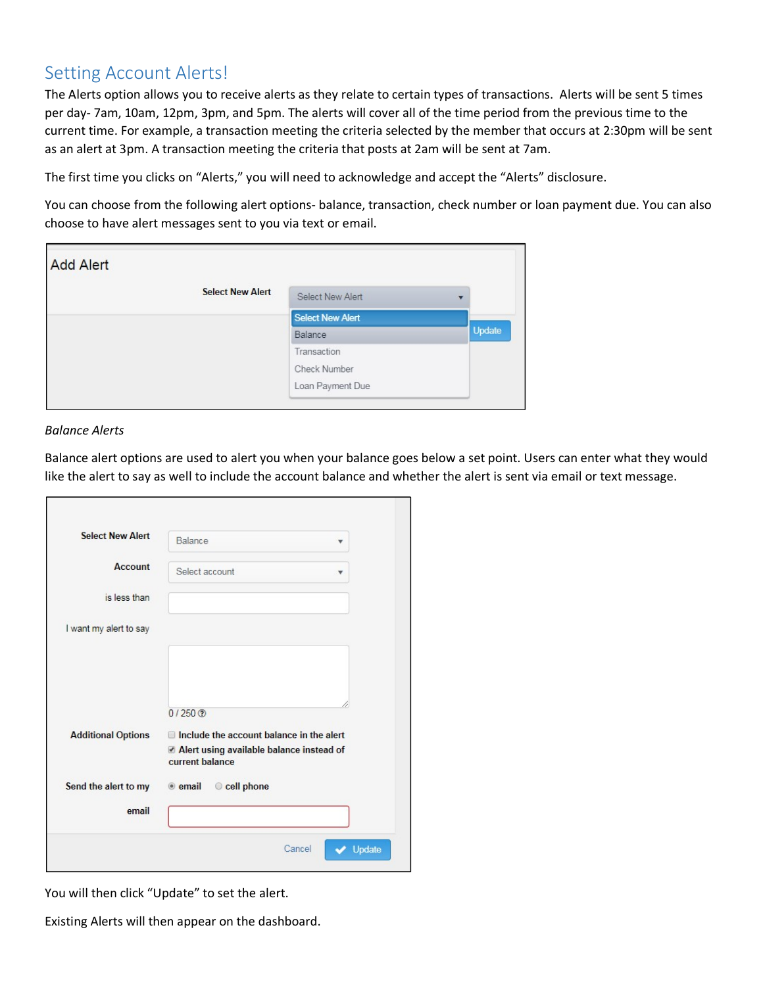# Setting Account Alerts!

The Alerts option allows you to receive alerts as they relate to certain types of transactions. Alerts will be sent 5 times per day-7am, 10am, 12pm, 3pm, and 5pm. The alerts will cover all of the time period from the previous time to the current time. For example, a transaction meeting the criteria selected by the member that occurs at 2:30pm will be sent as an alert at 3pm. A transaction meeting the criteria that posts at 2am will be sent at 7am.

The first time you clicks on "Alerts," you will need to acknowledge and accept the "Alerts" disclosure.

You can choose from the following alert options- balance, transaction, check number or loan payment due. You can also choose to have alert messages sent to you via text or email.

| <b>Add Alert</b> |                         |                         |                          |
|------------------|-------------------------|-------------------------|--------------------------|
|                  | <b>Select New Alert</b> | <b>Select New Alert</b> | $\overline{\phantom{a}}$ |
|                  |                         | Select New Alert        |                          |
|                  |                         | Balance                 | Update                   |
|                  |                         | Transaction             |                          |
|                  |                         | Check Number            |                          |
|                  |                         | Loan Payment Due        |                          |

## *Balance Alerts*

Balance alert options are used to alert you when your balance goes below a set point. Users can enter what they would like the alert to say as well to include the account balance and whether the alert is sent via email or text message.

| <b>Select New Alert</b>   | Balance<br>v                                                |
|---------------------------|-------------------------------------------------------------|
| <b>Account</b>            | Select account<br>v                                         |
| is less than              |                                                             |
| I want my alert to say    |                                                             |
|                           |                                                             |
|                           |                                                             |
|                           | $0/250$ <sup>O</sup>                                        |
| <b>Additional Options</b> | Include the account balance in the alert                    |
|                           | Alert using available balance instead of<br>current balance |
| Send the alert to my      | cell phone<br>$\bullet$ email                               |
| email                     |                                                             |

You will then click "Update" to set the alert.

Existing Alerts will then appear on the dashboard.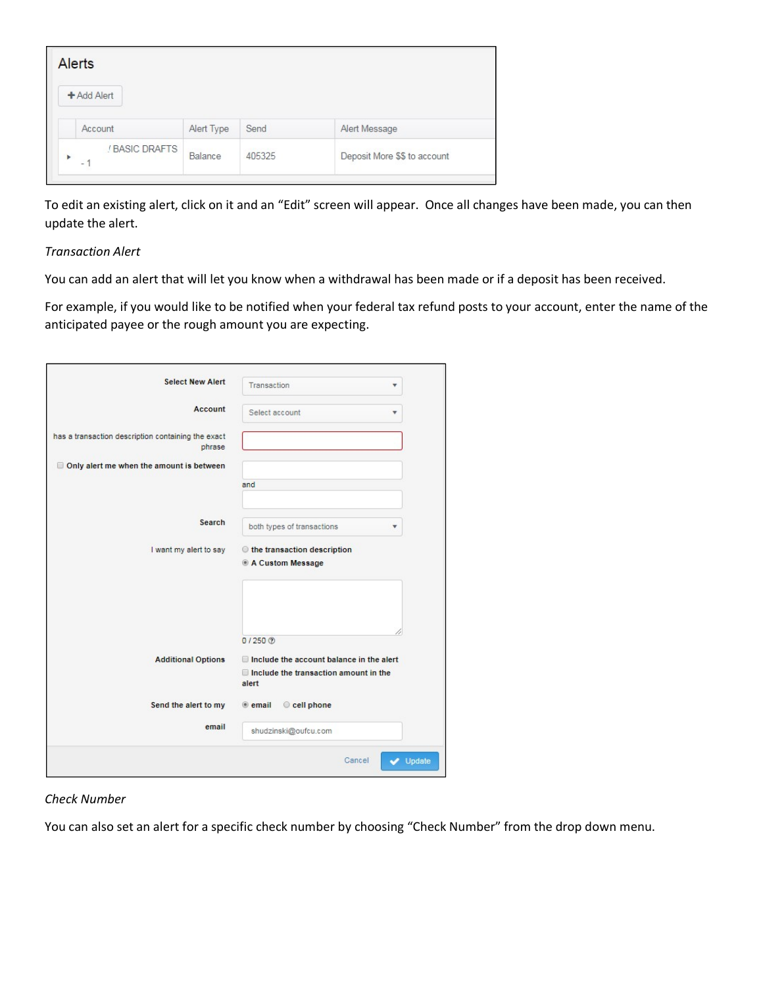|   | <b>Alerts</b>                              |            |        |                              |
|---|--------------------------------------------|------------|--------|------------------------------|
|   | + Add Alert                                |            |        |                              |
|   | Account                                    | Alert Type | Send   | Alert Message                |
| b | ! BASIC DRAFTS<br>$\overline{\phantom{a}}$ | Balance    | 405325 | Deposit More \$\$ to account |

To edit an existing alert, click on it and an "Edit" screen will appear. Once all changes have been made, you can then update the alert.

## *Transaction Alert*

You can add an alert that will let you know when a withdrawal has been made or if a deposit has been received.

For example, if you would like to be notified when your federal tax refund posts to your account, enter the name of the anticipated payee or the rough amount you are expecting.

| <b>Select New Alert</b>                                      | Transaction<br>۳                                                                                  |  |  |
|--------------------------------------------------------------|---------------------------------------------------------------------------------------------------|--|--|
| Account                                                      | Select account<br>$\overline{\mathbf{v}}$                                                         |  |  |
| has a transaction description containing the exact<br>phrase |                                                                                                   |  |  |
| Only alert me when the amount is between                     |                                                                                                   |  |  |
|                                                              | and                                                                                               |  |  |
| Search                                                       | both types of transactions<br>۳                                                                   |  |  |
| I want my alert to say                                       | the transaction description<br>A Custom Message                                                   |  |  |
|                                                              |                                                                                                   |  |  |
|                                                              | $0/250$ $@$                                                                                       |  |  |
| <b>Additional Options</b>                                    | Include the account balance in the alert<br>$\Box$ Include the transaction amount in the<br>alert |  |  |
| Send the alert to my                                         | Cell phone<br>$e$ email                                                                           |  |  |
| email                                                        | shudzinski@oufcu.com                                                                              |  |  |
|                                                              | Cancel<br>Update                                                                                  |  |  |

## *Check Number*

You can also set an alert for a specific check number by choosing "Check Number" from the drop down menu.